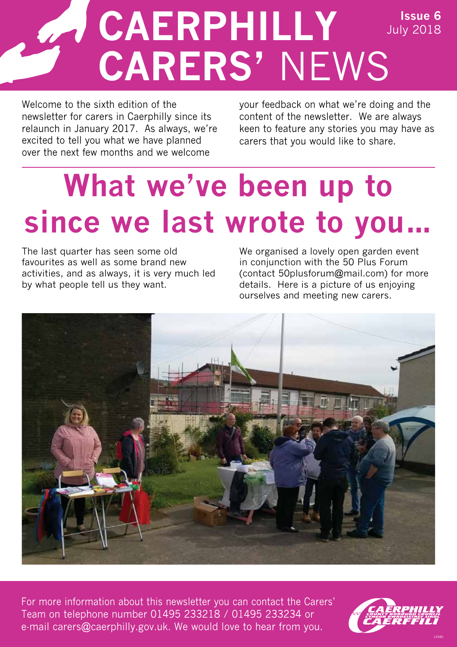### **CAERPHILLY CARERS'** NEWS **Issue 6** July 2018

Welcome to the sixth edition of the newsletter for carers in Caerphilly since its relaunch in January 2017. As always, we're excited to tell you what we have planned over the next few months and we welcome

your feedback on what we're doing and the content of the newsletter. We are always keen to feature any stories you may have as carers that you would like to share.

## **What we've been up to since we last wrote to you…**

The last quarter has seen some old favourites as well as some brand new activities, and as always, it is very much led by what people tell us they want.

We organised a lovely open garden event in conjunction with the 50 Plus Forum (contact 50plusforum@mail.com) for more details. Here is a picture of us enjoying ourselves and meeting new carers.



For more information about this newsletter you can contact the Carers' Team on telephone number 01495 233218 / 01495 233234 or e-mail carers@caerphilly.gov.uk. We would love to hear from you.

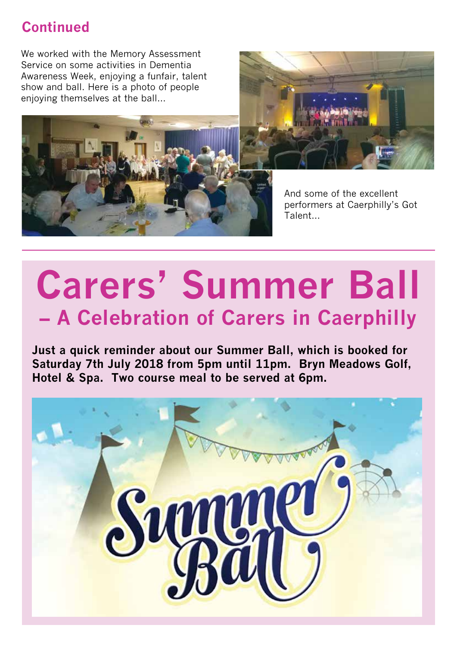### **Continued**

We worked with the Memory Assessment Service on some activities in Dementia Awareness Week, enjoying a funfair, talent show and ball. Here is a photo of people enjoying themselves at the ball…





And some of the excellent performers at Caerphilly's Got Talent…

## **Carers' Summer Ball – A Celebration of Carers in Caerphilly**

**Just a quick reminder about our Summer Ball, which is booked for Saturday 7th July 2018 from 5pm until 11pm. Bryn Meadows Golf, Hotel & Spa. Two course meal to be served at 6pm.** 

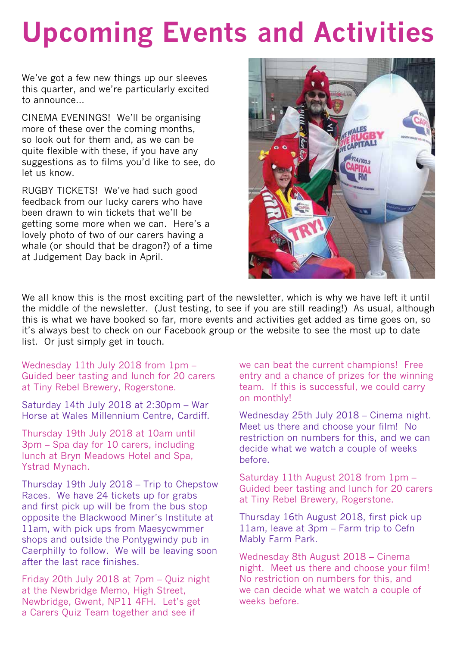## **Upcoming Events and Activities**

We've got a few new things up our sleeves this quarter, and we're particularly excited to announce

CINEMA EVENINGS! We'll be organising more of these over the coming months, so look out for them and, as we can be quite flexible with these, if you have any suggestions as to films you'd like to see, do let us know.

RUGBY TICKETS! We've had such good feedback from our lucky carers who have been drawn to win tickets that we'll be getting some more when we can. Here's a lovely photo of two of our carers having a whale (or should that be dragon?) of a time at Judgement Day back in April.



We alI know this is the most exciting part of the newsletter, which is why we have left it until the middle of the newsletter. (Just testing, to see if you are still reading!) As usual, although this is what we have booked so far, more events and activities get added as time goes on, so it's always best to check on our Facebook group or the website to see the most up to date list. Or just simply get in touch.

Wednesday 11th July 2018 from 1pm – Guided beer tasting and lunch for 20 carers at Tiny Rebel Brewery, Rogerstone.

Saturday 14th July 2018 at 2:30pm – War Horse at Wales Millennium Centre, Cardiff.

Thursday 19th July 2018 at 10am until 3pm – Spa day for 10 carers, including lunch at Bryn Meadows Hotel and Spa, Ystrad Mynach.

Thursday 19th July 2018 – Trip to Chepstow Races. We have 24 tickets up for grabs and first pick up will be from the bus stop opposite the Blackwood Miner's Institute at 11am, with pick ups from Maesycwmmer shops and outside the Pontygwindy pub in Caerphilly to follow. We will be leaving soon after the last race finishes.

Friday 20th July 2018 at 7pm – Quiz night at the Newbridge Memo, High Street, Newbridge, Gwent, NP11 4FH. Let's get a Carers Quiz Team together and see if

we can beat the current champions! Free entry and a chance of prizes for the winning team. If this is successful, we could carry on monthly!

Wednesday 25th July 2018 – Cinema night. Meet us there and choose your film! No restriction on numbers for this, and we can decide what we watch a couple of weeks before.

Saturday 11th August 2018 from 1pm – Guided beer tasting and lunch for 20 carers at Tiny Rebel Brewery, Rogerstone.

Thursday 16th August 2018, first pick up 11am, leave at 3pm – Farm trip to Cefn Mably Farm Park.

Wednesday 8th August 2018 – Cinema night. Meet us there and choose your film! No restriction on numbers for this, and we can decide what we watch a couple of weeks before.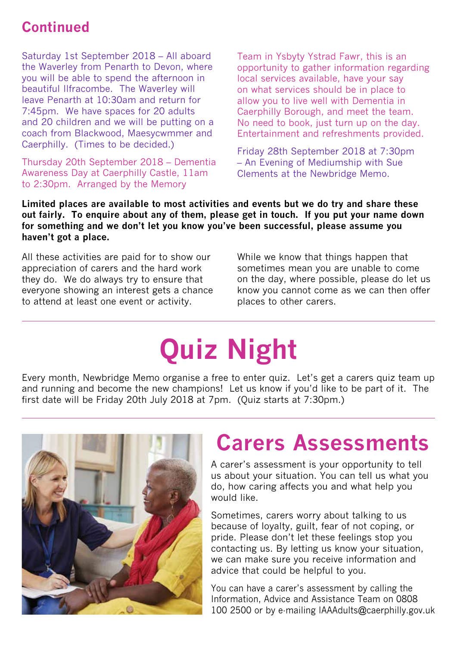### **Continued**

Saturday 1st September 2018 – All aboard the Waverley from Penarth to Devon, where you will be able to spend the afternoon in beautiful Ilfracombe. The Waverley will leave Penarth at 10:30am and return for 7:45pm. We have spaces for 20 adults and 20 children and we will be putting on a coach from Blackwood, Maesycwmmer and Caerphilly. (Times to be decided.)

Thursday 20th September 2018 – Dementia Awareness Day at Caerphilly Castle, 11am to 2:30pm. Arranged by the Memory

Team in Ysbyty Ystrad Fawr, this is an opportunity to gather information regarding local services available, have your say on what services should be in place to allow you to live well with Dementia in Caerphilly Borough, and meet the team. No need to book, just turn up on the day. Entertainment and refreshments provided.

Friday 28th September 2018 at 7:30pm – An Evening of Mediumship with Sue Clements at the Newbridge Memo.

**Limited places are available to most activities and events but we do try and share these out fairly. To enquire about any of them, please get in touch. If you put your name down for something and we don't let you know you've been successful, please assume you haven't got a place.**

All these activities are paid for to show our appreciation of carers and the hard work they do. We do always try to ensure that everyone showing an interest gets a chance to attend at least one event or activity.

While we know that things happen that sometimes mean you are unable to come on the day, where possible, please do let us know you cannot come as we can then offer places to other carers.

## **Quiz Night**

Every month, Newbridge Memo organise a free to enter quiz. Let's get a carers quiz team up and running and become the new champions! Let us know if you'd like to be part of it. The first date will be Friday 20th July 2018 at 7pm. (Quiz starts at 7:30pm.)



### **Carers Assessments**

A carer's assessment is your opportunity to tell us about your situation. You can tell us what you do, how caring affects you and what help you would like.

Sometimes, carers worry about talking to us because of loyalty, guilt, fear of not coping, or pride. Please don't let these feelings stop you contacting us. By letting us know your situation, we can make sure you receive information and advice that could be helpful to you.

You can have a carer's assessment by calling the Information, Advice and Assistance Team on 0808 100 2500 or by e-mailing IAAAdults@caerphilly.gov.uk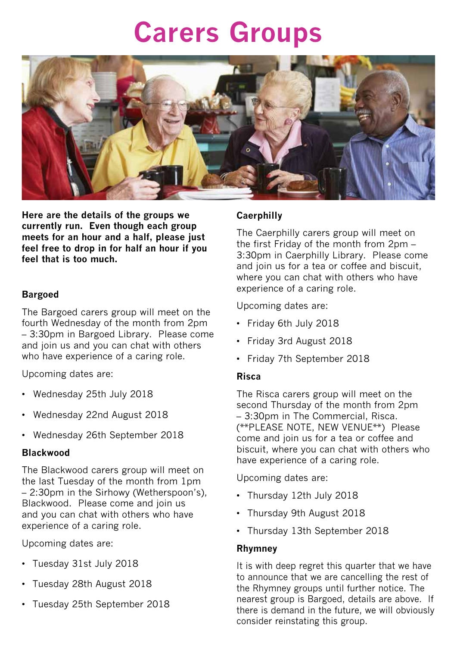### **Carers Groups**



**Here are the details of the groups we currently run. Even though each group meets for an hour and a half, please just feel free to drop in for half an hour if you feel that is too much.**

### **Bargoed**

The Bargoed carers group will meet on the fourth Wednesday of the month from 2pm – 3:30pm in Bargoed Library. Please come and join us and you can chat with others who have experience of a caring role.

Upcoming dates are:

- Wednesday 25th July 2018
- Wednesday 22nd August 2018
- Wednesday 26th September 2018

### **Blackwood**

The Blackwood carers group will meet on the last Tuesday of the month from 1pm – 2:30pm in the Sirhowy (Wetherspoon's), Blackwood. Please come and join us and you can chat with others who have experience of a caring role.

Upcoming dates are:

- Tuesday 31st July 2018
- Tuesday 28th August 2018
- Tuesday 25th September 2018

### **Caerphilly**

The Caerphilly carers group will meet on the first Friday of the month from 2pm – 3:30pm in Caerphilly Library. Please come and join us for a tea or coffee and biscuit, where you can chat with others who have experience of a caring role.

Upcoming dates are:

- Friday 6th July 2018
- Friday 3rd August 2018
- Friday 7th September 2018

### **Risca**

The Risca carers group will meet on the second Thursday of the month from 2pm – 3:30pm in The Commercial, Risca. (\*\*PLEASE NOTE, NEW VENUE\*\*) Please come and join us for a tea or coffee and biscuit, where you can chat with others who have experience of a caring role.

Upcoming dates are:

- Thursday 12th July 2018
- Thursday 9th August 2018
- Thursday 13th September 2018

### **Rhymney**

It is with deep regret this quarter that we have to announce that we are cancelling the rest of the Rhymney groups until further notice. The nearest group is Bargoed, details are above. If there is demand in the future, we will obviously consider reinstating this group.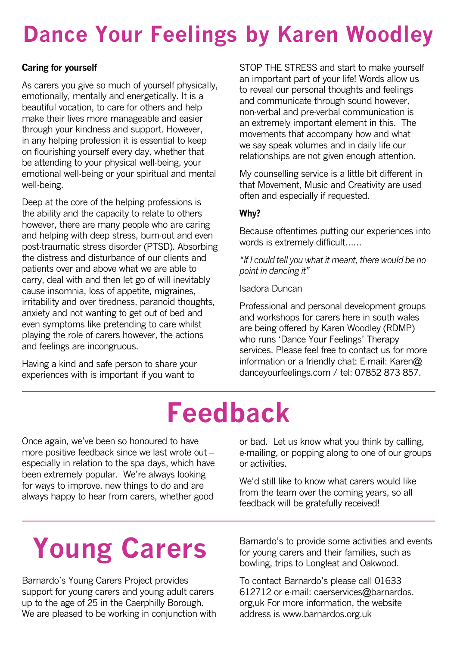### **Dance Your Feelings by Karen Woodley**

### **Caring for yourself**

As carers you give so much of yourself physically, emotionally, mentally and energetically. It is a beautiful vocation, to care for others and help make their lives more manageable and easier through your kindness and support. However, in any helping profession it is essential to keep on flourishing yourself every day, whether that be attending to your physical well-being, your emotional well-being or your spiritual and mental well-being.

Deep at the core of the helping professions is the ability and the capacity to relate to others however, there are many people who are caring and helping with deep stress, burn-out and even post-traumatic stress disorder (PTSD). Absorbing the distress and disturbance of our clients and patients over and above what we are able to carry, deal with and then let go of will inevitably cause insomnia, loss of appetite, migraines, irritability and over tiredness, paranoid thoughts, anxiety and not wanting to get out of bed and even symptoms like pretending to care whilst playing the role of carers however, the actions and feelings are incongruous.

Having a kind and safe person to share your experiences with is important if you want to

STOP THE STRESS and start to make yourself an important part of your life! Words allow us to reveal our personal thoughts and feelings and communicate through sound however, non-verbal and pre-verbal communication is an extremely important element in this. The movements that accompany how and what we say speak volumes and in daily life our relationships are not given enough attention.

My counselling service is a little bit different in that Movement, Music and Creativity are used often and especially if requested.

### **Why?**

Because oftentimes putting our experiences into words is extremely difficult……

*"If I could tell you what it meant, there would be no point in dancing it"*

Isadora Duncan

Professional and personal development groups and workshops for carers here in south wales are being offered by Karen Woodley (RDMP) who runs 'Dance Your Feelings' Therapy services. Please feel free to contact us for more information or a friendly chat: E-mail: Karen@ danceyourfeelings.com / tel: 07852 873 857.

### **Feedback**

Once again, we've been so honoured to have more positive feedback since we last wrote out – especially in relation to the spa days, which have been extremely popular. We're always looking for ways to improve, new things to do and are always happy to hear from carers, whether good

or bad. Let us know what you think by calling, e-mailing, or popping along to one of our groups or activities.

We'd still like to know what carers would like from the team over the coming years, so all feedback will be gratefully received!

## **Young Carers**

Barnardo's Young Carers Project provides support for young carers and young adult carers up to the age of 25 in the Caerphilly Borough. We are pleased to be working in conjunction with

Barnardo's to provide some activities and events for young carers and their families, such as bowling, trips to Longleat and Oakwood.

To contact Barnardo's please call 01633 612712 or e-mail: caerservices@barnardos. org,uk For more information, the website address is www.barnardos.org.uk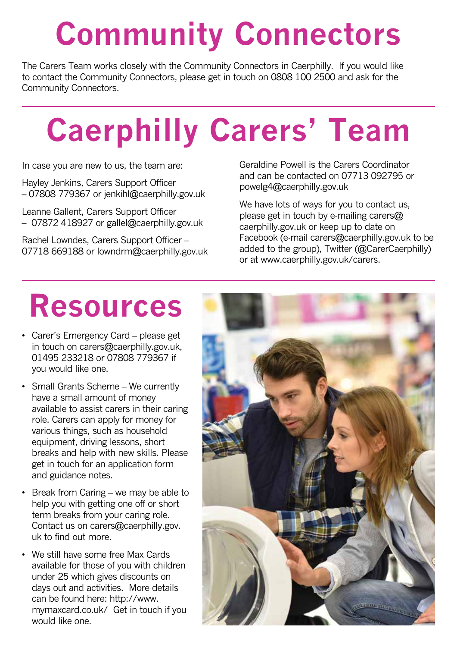## **Community Connectors**

The Carers Team works closely with the Community Connectors in Caerphilly. If you would like to contact the Community Connectors, please get in touch on 0808 100 2500 and ask for the Community Connectors.

# **Caerphilly Carers' Team**

In case you are new to us, the team are:

Hayley Jenkins, Carers Support Officer – 07808 779367 or jenkihl@caerphilly.gov.uk

Leanne Gallent, Carers Support Officer – 07872 418927 or gallel@caerphilly.gov.uk

Rachel Lowndes, Carers Support Officer – 07718 669188 or lowndrm@caerphilly.gov.uk Geraldine Powell is the Carers Coordinator and can be contacted on 07713 092795 or powelg4@caerphilly.gov.uk

We have lots of ways for you to contact us, please get in touch by e-mailing carers@ caerphilly.gov.uk or keep up to date on Facebook (e-mail carers@caerphilly.gov.uk to be added to the group), Twitter (@CarerCaerphilly) or at www.caerphilly.gov.uk/carers.

### **Resources**

- Carer's Emergency Card please get in touch on carers@caerphilly.gov.uk, 01495 233218 or 07808 779367 if you would like one.
- Small Grants Scheme We currently have a small amount of money available to assist carers in their caring role. Carers can apply for money for various things, such as household equipment, driving lessons, short breaks and help with new skills. Please get in touch for an application form and guidance notes.
- Break from Caring we may be able to help you with getting one off or short term breaks from your caring role. Contact us on carers@caerphilly.gov. uk to find out more.
- We still have some free Max Cards available for those of you with children under 25 which gives discounts on days out and activities. More details can be found here: http://www. mymaxcard.co.uk/ Get in touch if you would like one.